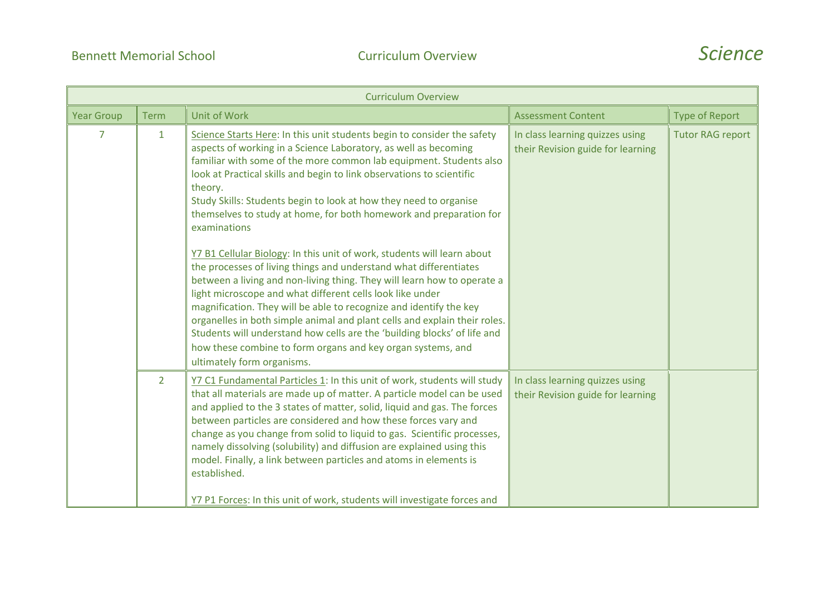

|                   |                | <b>Curriculum Overview</b>                                                                                                                                                                                                                                                                                                                                                                                                                                                                                                                                                                                            |                                                                      |                         |
|-------------------|----------------|-----------------------------------------------------------------------------------------------------------------------------------------------------------------------------------------------------------------------------------------------------------------------------------------------------------------------------------------------------------------------------------------------------------------------------------------------------------------------------------------------------------------------------------------------------------------------------------------------------------------------|----------------------------------------------------------------------|-------------------------|
| <b>Year Group</b> | <b>Term</b>    | <b>Unit of Work</b>                                                                                                                                                                                                                                                                                                                                                                                                                                                                                                                                                                                                   | <b>Assessment Content</b>                                            | <b>Type of Report</b>   |
| $\overline{7}$    | $\mathbf{1}$   | Science Starts Here: In this unit students begin to consider the safety<br>aspects of working in a Science Laboratory, as well as becoming<br>familiar with some of the more common lab equipment. Students also<br>look at Practical skills and begin to link observations to scientific<br>theory.<br>Study Skills: Students begin to look at how they need to organise<br>themselves to study at home, for both homework and preparation for<br>examinations                                                                                                                                                       | In class learning quizzes using<br>their Revision guide for learning | <b>Tutor RAG report</b> |
|                   |                | Y7 B1 Cellular Biology: In this unit of work, students will learn about<br>the processes of living things and understand what differentiates<br>between a living and non-living thing. They will learn how to operate a<br>light microscope and what different cells look like under<br>magnification. They will be able to recognize and identify the key<br>organelles in both simple animal and plant cells and explain their roles.<br>Students will understand how cells are the 'building blocks' of life and<br>how these combine to form organs and key organ systems, and<br>ultimately form organisms.      |                                                                      |                         |
|                   | $\overline{2}$ | Y7 C1 Fundamental Particles 1: In this unit of work, students will study<br>that all materials are made up of matter. A particle model can be used<br>and applied to the 3 states of matter, solid, liquid and gas. The forces<br>between particles are considered and how these forces vary and<br>change as you change from solid to liquid to gas. Scientific processes,<br>namely dissolving (solubility) and diffusion are explained using this<br>model. Finally, a link between particles and atoms in elements is<br>established.<br>Y7 P1 Forces: In this unit of work, students will investigate forces and | In class learning quizzes using<br>their Revision guide for learning |                         |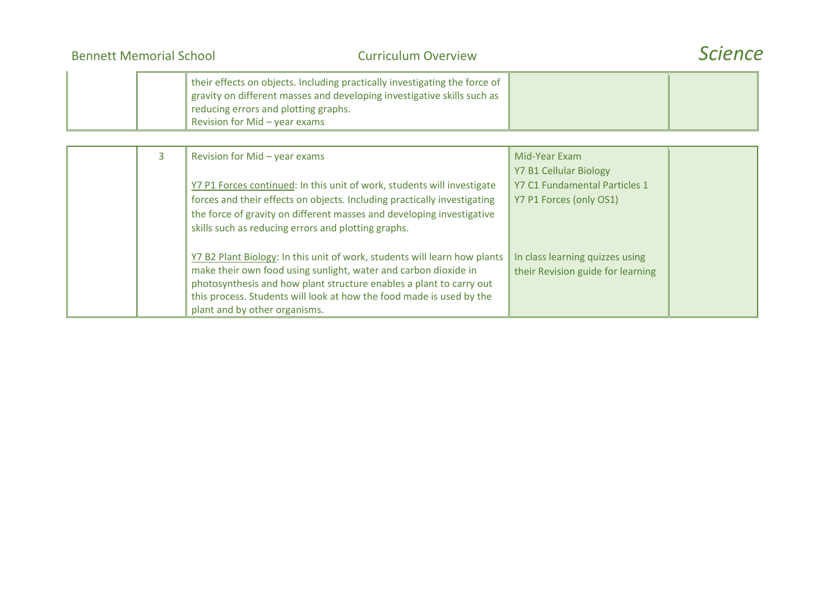| <b>Bennett Memorial School</b> | <b>Curriculum Overview</b>                                                                                                                                                                                                     | <b>Science</b> |
|--------------------------------|--------------------------------------------------------------------------------------------------------------------------------------------------------------------------------------------------------------------------------|----------------|
|                                | their effects on objects. Including practically investigating the force of<br>gravity on different masses and developing investigative skills such as<br>reducing errors and plotting graphs.<br>Revision for Mid - year exams |                |

| 3 | Revision for Mid - year exams                                                                                                                                                                                                                                                                                                | Mid-Year Exam<br><b>Y7 B1 Cellular Biology</b>                       |
|---|------------------------------------------------------------------------------------------------------------------------------------------------------------------------------------------------------------------------------------------------------------------------------------------------------------------------------|----------------------------------------------------------------------|
|   | Y7 P1 Forces continued: In this unit of work, students will investigate                                                                                                                                                                                                                                                      | Y7 C1 Fundamental Particles 1                                        |
|   | forces and their effects on objects. Including practically investigating                                                                                                                                                                                                                                                     | Y7 P1 Forces (only OS1)                                              |
|   | the force of gravity on different masses and developing investigative                                                                                                                                                                                                                                                        |                                                                      |
|   | skills such as reducing errors and plotting graphs.                                                                                                                                                                                                                                                                          |                                                                      |
|   | Y7 B2 Plant Biology: In this unit of work, students will learn how plants<br>make their own food using sunlight, water and carbon dioxide in<br>photosynthesis and how plant structure enables a plant to carry out<br>this process. Students will look at how the food made is used by the<br>plant and by other organisms. | In class learning quizzes using<br>their Revision guide for learning |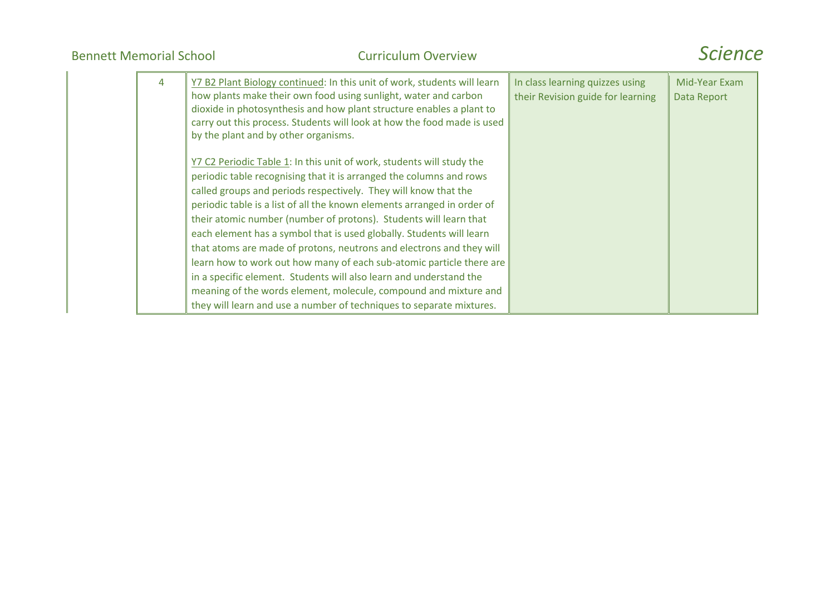| 4 | Y7 B2 Plant Biology continued: In this unit of work, students will learn<br>how plants make their own food using sunlight, water and carbon<br>dioxide in photosynthesis and how plant structure enables a plant to<br>carry out this process. Students will look at how the food made is used<br>by the plant and by other organisms.                                                                                                                                                                                                                                                                                                                                                                                                                                                                    | In class learning quizzes using<br>their Revision guide for learning | Mid-Year Exam<br>Data Report |
|---|-----------------------------------------------------------------------------------------------------------------------------------------------------------------------------------------------------------------------------------------------------------------------------------------------------------------------------------------------------------------------------------------------------------------------------------------------------------------------------------------------------------------------------------------------------------------------------------------------------------------------------------------------------------------------------------------------------------------------------------------------------------------------------------------------------------|----------------------------------------------------------------------|------------------------------|
|   | Y7 C2 Periodic Table 1: In this unit of work, students will study the<br>periodic table recognising that it is arranged the columns and rows<br>called groups and periods respectively. They will know that the<br>periodic table is a list of all the known elements arranged in order of<br>their atomic number (number of protons). Students will learn that<br>each element has a symbol that is used globally. Students will learn<br>that atoms are made of protons, neutrons and electrons and they will<br>learn how to work out how many of each sub-atomic particle there are<br>in a specific element. Students will also learn and understand the<br>meaning of the words element, molecule, compound and mixture and<br>they will learn and use a number of techniques to separate mixtures. |                                                                      |                              |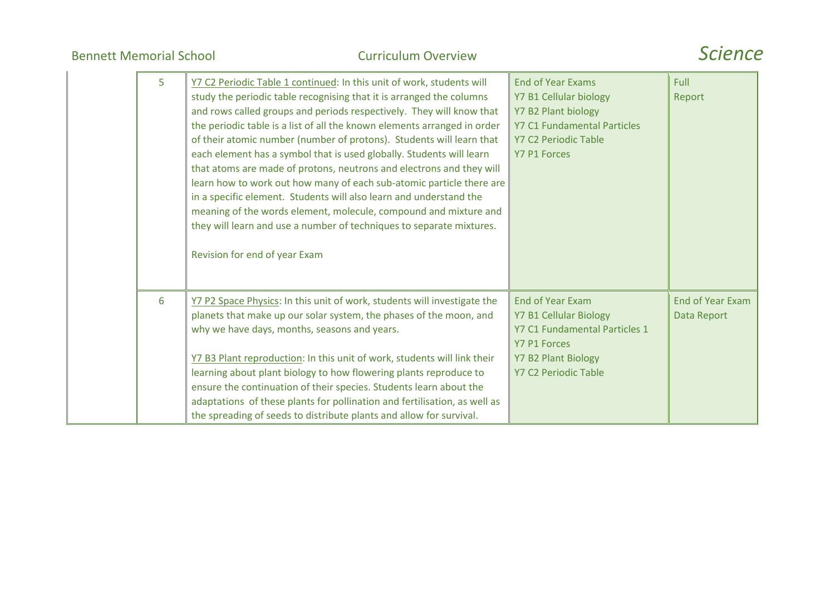| 5 | Y7 C2 Periodic Table 1 continued: In this unit of work, students will<br>study the periodic table recognising that it is arranged the columns<br>and rows called groups and periods respectively. They will know that<br>the periodic table is a list of all the known elements arranged in order<br>of their atomic number (number of protons). Students will learn that<br>each element has a symbol that is used globally. Students will learn<br>that atoms are made of protons, neutrons and electrons and they will<br>learn how to work out how many of each sub-atomic particle there are<br>in a specific element. Students will also learn and understand the<br>meaning of the words element, molecule, compound and mixture and<br>they will learn and use a number of techniques to separate mixtures.<br>Revision for end of year Exam | <b>End of Year Exams</b><br>Y7 B1 Cellular biology<br>Y7 B2 Plant biology<br><b>Y7 C1 Fundamental Particles</b><br>Y7 C2 Periodic Table<br><b>Y7 P1 Forces</b>         | Full<br>Report                         |
|---|------------------------------------------------------------------------------------------------------------------------------------------------------------------------------------------------------------------------------------------------------------------------------------------------------------------------------------------------------------------------------------------------------------------------------------------------------------------------------------------------------------------------------------------------------------------------------------------------------------------------------------------------------------------------------------------------------------------------------------------------------------------------------------------------------------------------------------------------------|------------------------------------------------------------------------------------------------------------------------------------------------------------------------|----------------------------------------|
| 6 | Y7 P2 Space Physics: In this unit of work, students will investigate the<br>planets that make up our solar system, the phases of the moon, and<br>why we have days, months, seasons and years.<br>Y7 B3 Plant reproduction: In this unit of work, students will link their<br>learning about plant biology to how flowering plants reproduce to<br>ensure the continuation of their species. Students learn about the<br>adaptations of these plants for pollination and fertilisation, as well as<br>the spreading of seeds to distribute plants and allow for survival.                                                                                                                                                                                                                                                                            | <b>End of Year Exam</b><br><b>Y7 B1 Cellular Biology</b><br>Y7 C1 Fundamental Particles 1<br><b>Y7 P1 Forces</b><br><b>Y7 B2 Plant Biology</b><br>Y7 C2 Periodic Table | <b>End of Year Exam</b><br>Data Report |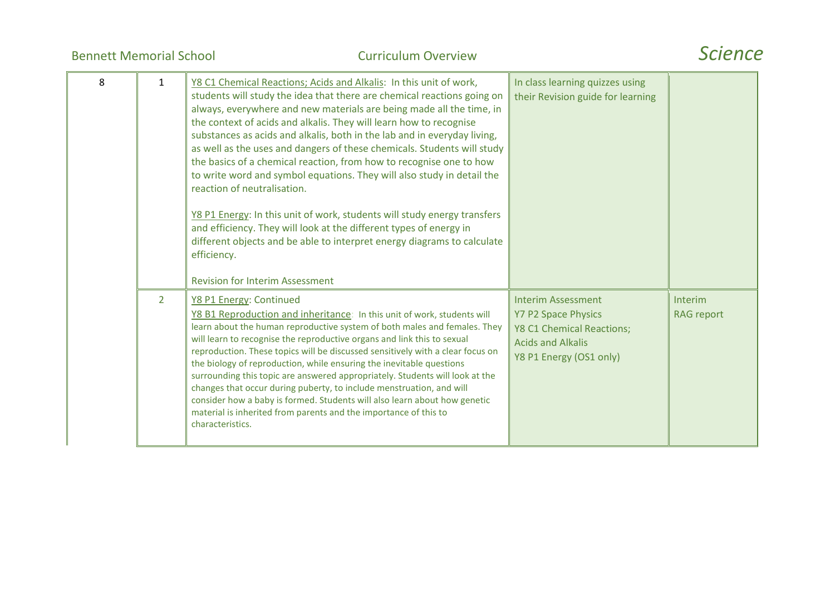| 8 | 1              | Y8 C1 Chemical Reactions; Acids and Alkalis: In this unit of work,<br>students will study the idea that there are chemical reactions going on<br>always, everywhere and new materials are being made all the time, in<br>the context of acids and alkalis. They will learn how to recognise<br>substances as acids and alkalis, both in the lab and in everyday living,<br>as well as the uses and dangers of these chemicals. Students will study<br>the basics of a chemical reaction, from how to recognise one to how<br>to write word and symbol equations. They will also study in detail the<br>reaction of neutralisation.<br>Y8 P1 Energy: In this unit of work, students will study energy transfers<br>and efficiency. They will look at the different types of energy in<br>different objects and be able to interpret energy diagrams to calculate<br>efficiency.<br><b>Revision for Interim Assessment</b> | In class learning quizzes using<br>their Revision guide for learning                                                                        |                                     |
|---|----------------|--------------------------------------------------------------------------------------------------------------------------------------------------------------------------------------------------------------------------------------------------------------------------------------------------------------------------------------------------------------------------------------------------------------------------------------------------------------------------------------------------------------------------------------------------------------------------------------------------------------------------------------------------------------------------------------------------------------------------------------------------------------------------------------------------------------------------------------------------------------------------------------------------------------------------|---------------------------------------------------------------------------------------------------------------------------------------------|-------------------------------------|
|   | $\overline{2}$ | Y8 P1 Energy: Continued<br>Y8 B1 Reproduction and inheritance: In this unit of work, students will<br>learn about the human reproductive system of both males and females. They<br>will learn to recognise the reproductive organs and link this to sexual<br>reproduction. These topics will be discussed sensitively with a clear focus on<br>the biology of reproduction, while ensuring the inevitable questions<br>surrounding this topic are answered appropriately. Students will look at the<br>changes that occur during puberty, to include menstruation, and will<br>consider how a baby is formed. Students will also learn about how genetic<br>material is inherited from parents and the importance of this to<br>characteristics.                                                                                                                                                                        | <b>Interim Assessment</b><br><b>Y7 P2 Space Physics</b><br>Y8 C1 Chemical Reactions;<br><b>Acids and Alkalis</b><br>Y8 P1 Energy (OS1 only) | <b>Interim</b><br><b>RAG</b> report |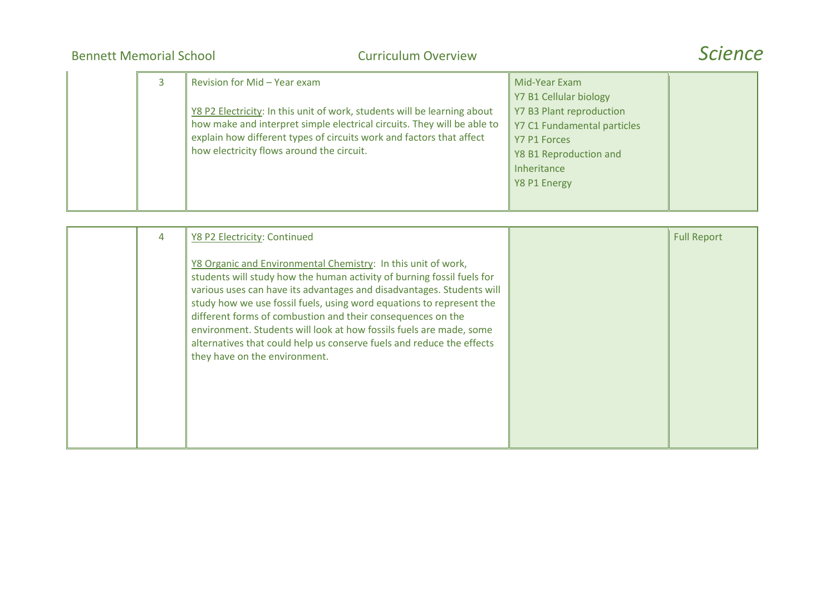| 3 | Revision for Mid - Year exam                                                                                                                                                                                                                                             | Mid-Year Exam                                                                                                                                              |  |
|---|--------------------------------------------------------------------------------------------------------------------------------------------------------------------------------------------------------------------------------------------------------------------------|------------------------------------------------------------------------------------------------------------------------------------------------------------|--|
|   | Y8 P2 Electricity: In this unit of work, students will be learning about<br>how make and interpret simple electrical circuits. They will be able to<br>explain how different types of circuits work and factors that affect<br>how electricity flows around the circuit. | Y7 B1 Cellular biology<br>Y7 B3 Plant reproduction<br>Y7 C1 Fundamental particles<br>Y7 P1 Forces<br>Y8 B1 Reproduction and<br>Inheritance<br>Y8 P1 Energy |  |
|   |                                                                                                                                                                                                                                                                          |                                                                                                                                                            |  |

| 4 | Y8 P2 Electricity: Continued                                                                                                                                                                                                                                                                                                                                                                                                                                                                                                             | <b>Full Report</b> |
|---|------------------------------------------------------------------------------------------------------------------------------------------------------------------------------------------------------------------------------------------------------------------------------------------------------------------------------------------------------------------------------------------------------------------------------------------------------------------------------------------------------------------------------------------|--------------------|
|   | Y8 Organic and Environmental Chemistry: In this unit of work,<br>students will study how the human activity of burning fossil fuels for<br>various uses can have its advantages and disadvantages. Students will<br>study how we use fossil fuels, using word equations to represent the<br>different forms of combustion and their consequences on the<br>environment. Students will look at how fossils fuels are made, some<br>alternatives that could help us conserve fuels and reduce the effects<br>they have on the environment. |                    |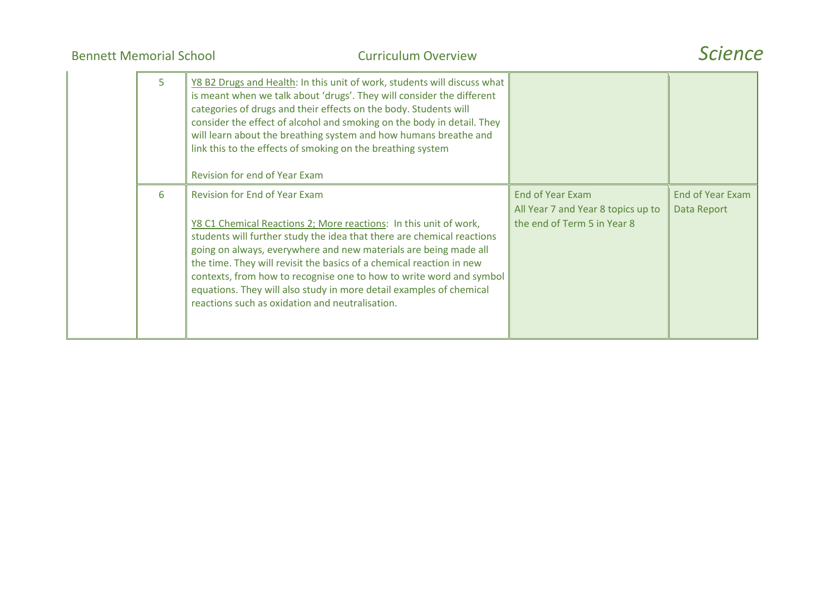| 5 | Y8 B2 Drugs and Health: In this unit of work, students will discuss what<br>is meant when we talk about 'drugs'. They will consider the different<br>categories of drugs and their effects on the body. Students will<br>consider the effect of alcohol and smoking on the body in detail. They<br>will learn about the breathing system and how humans breathe and<br>link this to the effects of smoking on the breathing system<br>Revision for end of Year Exam                                                              |                                                                                       |                                        |
|---|----------------------------------------------------------------------------------------------------------------------------------------------------------------------------------------------------------------------------------------------------------------------------------------------------------------------------------------------------------------------------------------------------------------------------------------------------------------------------------------------------------------------------------|---------------------------------------------------------------------------------------|----------------------------------------|
| 6 | <b>Revision for End of Year Exam</b><br>Y8 C1 Chemical Reactions 2; More reactions: In this unit of work,<br>students will further study the idea that there are chemical reactions<br>going on always, everywhere and new materials are being made all<br>the time. They will revisit the basics of a chemical reaction in new<br>contexts, from how to recognise one to how to write word and symbol<br>equations. They will also study in more detail examples of chemical<br>reactions such as oxidation and neutralisation. | End of Year Exam<br>All Year 7 and Year 8 topics up to<br>the end of Term 5 in Year 8 | <b>End of Year Exam</b><br>Data Report |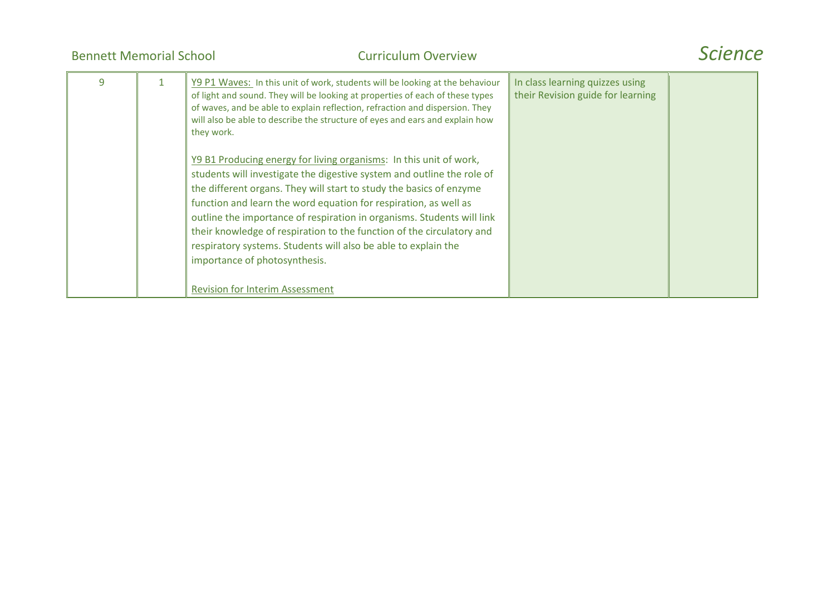| <b>Bennett Memorial School</b> | <b>Curriculum Overview</b>                                                                                                                                                                                                                                                                                                                                                                                                                                                                                                                                                                                                                                                                                                                                                                                                                                                                   |                                                                      | Science |
|--------------------------------|----------------------------------------------------------------------------------------------------------------------------------------------------------------------------------------------------------------------------------------------------------------------------------------------------------------------------------------------------------------------------------------------------------------------------------------------------------------------------------------------------------------------------------------------------------------------------------------------------------------------------------------------------------------------------------------------------------------------------------------------------------------------------------------------------------------------------------------------------------------------------------------------|----------------------------------------------------------------------|---------|
| 9                              | Y9 P1 Waves: In this unit of work, students will be looking at the behaviour<br>of light and sound. They will be looking at properties of each of these types<br>of waves, and be able to explain reflection, refraction and dispersion. They<br>will also be able to describe the structure of eyes and ears and explain how<br>they work.<br>Y9 B1 Producing energy for living organisms: In this unit of work,<br>students will investigate the digestive system and outline the role of<br>the different organs. They will start to study the basics of enzyme<br>function and learn the word equation for respiration, as well as<br>outline the importance of respiration in organisms. Students will link<br>their knowledge of respiration to the function of the circulatory and<br>respiratory systems. Students will also be able to explain the<br>importance of photosynthesis. | In class learning quizzes using<br>their Revision guide for learning |         |
|                                | <b>Revision for Interim Assessment</b>                                                                                                                                                                                                                                                                                                                                                                                                                                                                                                                                                                                                                                                                                                                                                                                                                                                       |                                                                      |         |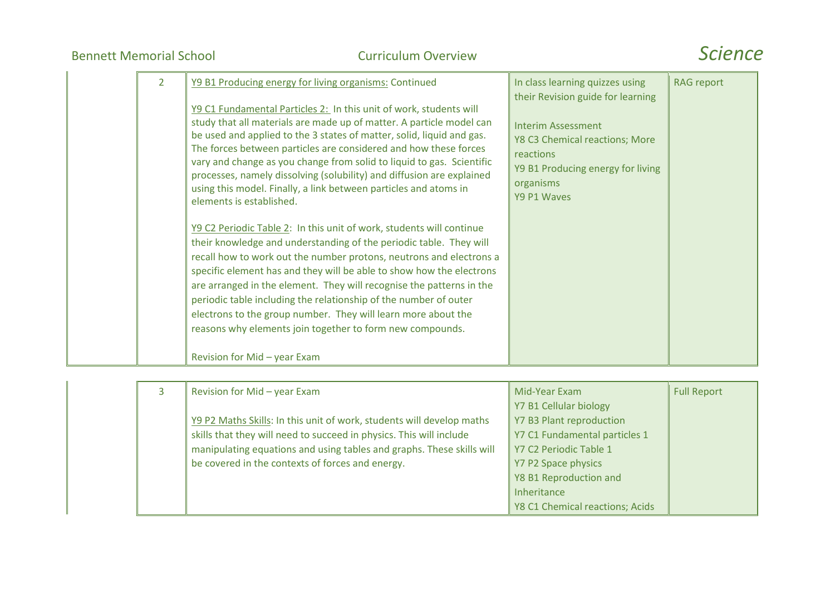| $\overline{2}$ | Y9 B1 Producing energy for living organisms: Continued<br>Y9 C1 Fundamental Particles 2: In this unit of work, students will<br>study that all materials are made up of matter. A particle model can<br>be used and applied to the 3 states of matter, solid, liquid and gas.<br>The forces between particles are considered and how these forces<br>vary and change as you change from solid to liquid to gas. Scientific<br>processes, namely dissolving (solubility) and diffusion are explained<br>using this model. Finally, a link between particles and atoms in<br>elements is established.<br>Y9 C2 Periodic Table 2: In this unit of work, students will continue<br>their knowledge and understanding of the periodic table. They will<br>recall how to work out the number protons, neutrons and electrons a<br>specific element has and they will be able to show how the electrons<br>are arranged in the element. They will recognise the patterns in the | In class learning quizzes using<br>their Revision guide for learning<br><b>Interim Assessment</b><br>Y8 C3 Chemical reactions; More<br>reactions<br>Y9 B1 Producing energy for living<br>organisms<br>Y9 P1 Waves | <b>RAG report</b> |
|----------------|--------------------------------------------------------------------------------------------------------------------------------------------------------------------------------------------------------------------------------------------------------------------------------------------------------------------------------------------------------------------------------------------------------------------------------------------------------------------------------------------------------------------------------------------------------------------------------------------------------------------------------------------------------------------------------------------------------------------------------------------------------------------------------------------------------------------------------------------------------------------------------------------------------------------------------------------------------------------------|-------------------------------------------------------------------------------------------------------------------------------------------------------------------------------------------------------------------|-------------------|
|                | periodic table including the relationship of the number of outer<br>electrons to the group number. They will learn more about the<br>reasons why elements join together to form new compounds.<br>Revision for Mid - year Exam                                                                                                                                                                                                                                                                                                                                                                                                                                                                                                                                                                                                                                                                                                                                           |                                                                                                                                                                                                                   |                   |

| Revision for Mid - year Exam                                          | Mid-Year Exam                   | <b>Full Report</b> |
|-----------------------------------------------------------------------|---------------------------------|--------------------|
|                                                                       | Y7 B1 Cellular biology          |                    |
| Y9 P2 Maths Skills: In this unit of work, students will develop maths | Y7 B3 Plant reproduction        |                    |
| skills that they will need to succeed in physics. This will include   | Y7 C1 Fundamental particles 1   |                    |
| manipulating equations and using tables and graphs. These skills will | Y7 C2 Periodic Table 1          |                    |
| be covered in the contexts of forces and energy.                      | Y7 P2 Space physics             |                    |
|                                                                       | Y8 B1 Reproduction and          |                    |
|                                                                       | Inheritance                     |                    |
|                                                                       | Y8 C1 Chemical reactions; Acids |                    |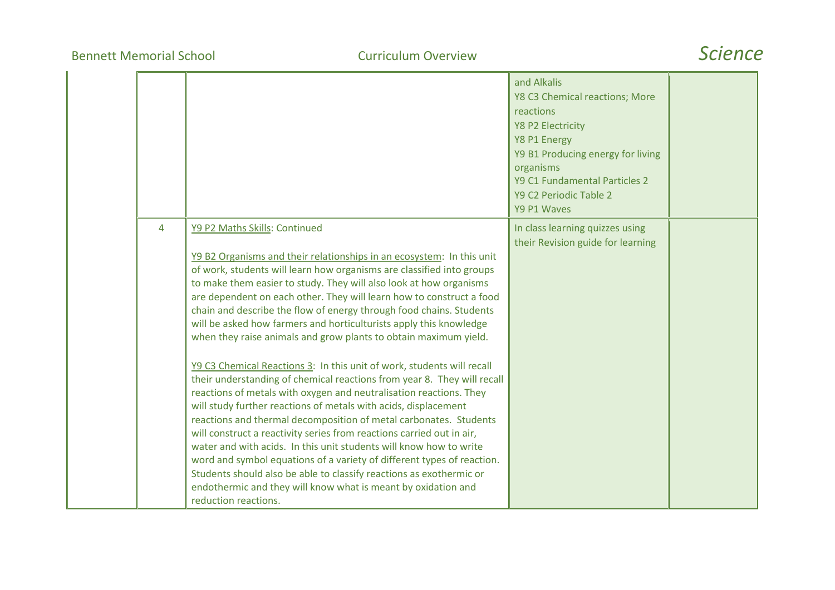|   |                                                                                                                                                                                                                                                                                                                                                                                                                                                                                                                                                                                                                                                                                                                                                                                                                                                                                                                                                                                                                                                                                                                                                                                                                                                                                                            | and Alkalis<br>Y8 C3 Chemical reactions; More<br>reactions<br><b>Y8 P2 Electricity</b><br>Y8 P1 Energy<br>Y9 B1 Producing energy for living<br>organisms<br>Y9 C1 Fundamental Particles 2<br>Y9 C2 Periodic Table 2<br>Y9 P1 Waves |  |
|---|------------------------------------------------------------------------------------------------------------------------------------------------------------------------------------------------------------------------------------------------------------------------------------------------------------------------------------------------------------------------------------------------------------------------------------------------------------------------------------------------------------------------------------------------------------------------------------------------------------------------------------------------------------------------------------------------------------------------------------------------------------------------------------------------------------------------------------------------------------------------------------------------------------------------------------------------------------------------------------------------------------------------------------------------------------------------------------------------------------------------------------------------------------------------------------------------------------------------------------------------------------------------------------------------------------|------------------------------------------------------------------------------------------------------------------------------------------------------------------------------------------------------------------------------------|--|
| 4 | Y9 P2 Maths Skills: Continued<br>Y9 B2 Organisms and their relationships in an ecosystem: In this unit<br>of work, students will learn how organisms are classified into groups<br>to make them easier to study. They will also look at how organisms<br>are dependent on each other. They will learn how to construct a food<br>chain and describe the flow of energy through food chains. Students<br>will be asked how farmers and horticulturists apply this knowledge<br>when they raise animals and grow plants to obtain maximum yield.<br>Y9 C3 Chemical Reactions 3: In this unit of work, students will recall<br>their understanding of chemical reactions from year 8. They will recall<br>reactions of metals with oxygen and neutralisation reactions. They<br>will study further reactions of metals with acids, displacement<br>reactions and thermal decomposition of metal carbonates. Students<br>will construct a reactivity series from reactions carried out in air,<br>water and with acids. In this unit students will know how to write<br>word and symbol equations of a variety of different types of reaction.<br>Students should also be able to classify reactions as exothermic or<br>endothermic and they will know what is meant by oxidation and<br>reduction reactions. | In class learning quizzes using<br>their Revision guide for learning                                                                                                                                                               |  |